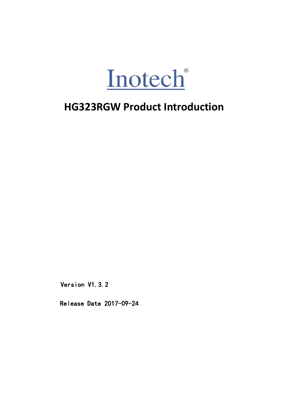

Version V1.3.2 Version V1.3.2<br>Release Date 2017–09–24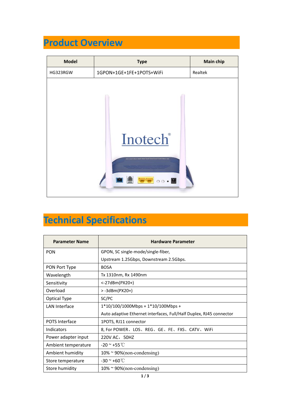| <b>Product Overview</b><br><b>Model</b><br><b>Main chip</b><br><b>Type</b><br>1GPON+1GE+1FE+1POTS+WiFi<br>Realtek<br>HG323RGW<br>Inotech®<br>$-1$<br>$\circ \circ \cdot \blacksquare$ |                       |                                        |  |
|---------------------------------------------------------------------------------------------------------------------------------------------------------------------------------------|-----------------------|----------------------------------------|--|
|                                                                                                                                                                                       |                       |                                        |  |
|                                                                                                                                                                                       |                       |                                        |  |
|                                                                                                                                                                                       |                       |                                        |  |
|                                                                                                                                                                                       |                       |                                        |  |
|                                                                                                                                                                                       |                       |                                        |  |
| <b>Technical Specifications</b>                                                                                                                                                       | <b>Parameter Name</b> |                                        |  |
| <b>Hardware Parameter</b>                                                                                                                                                             | <b>PON</b>            | GPON, SC single-mode/single-fiber,     |  |
|                                                                                                                                                                                       |                       | Upstream 1.25Gbps, Downstream 2.5Gbps. |  |
|                                                                                                                                                                                       |                       |                                        |  |
| PON Port Type<br><b>BOSA</b><br>Wavelength<br>Tx 1310nm, Rx 1490nm                                                                                                                    |                       |                                        |  |

## **Technical Specifications**

| 800                             |                                                                     |  |  |  |
|---------------------------------|---------------------------------------------------------------------|--|--|--|
| <b>Technical Specifications</b> |                                                                     |  |  |  |
|                                 |                                                                     |  |  |  |
| <b>Parameter Name</b>           | <b>Hardware Parameter</b>                                           |  |  |  |
| <b>PON</b>                      | GPON, SC single-mode/single-fiber,                                  |  |  |  |
|                                 | Upstream 1.25Gbps, Downstream 2.5Gbps.                              |  |  |  |
| PON Port Type                   | <b>BOSA</b>                                                         |  |  |  |
| Wavelength                      | Tx 1310nm, Rx 1490nm                                                |  |  |  |
| Sensitivity                     | <-27dBm(PX20+)                                                      |  |  |  |
| Overload                        | $> -3d$ Bm(PX20+)                                                   |  |  |  |
| Optical Type                    | SC/PC                                                               |  |  |  |
| <b>LAN Interface</b>            | 1*10/100/1000Mbps + 1*10/100Mbps +                                  |  |  |  |
|                                 | Auto adaptive Ethernet interfaces, Full/Half Duplex, RJ45 connector |  |  |  |
| POTS Interface                  | 1POTS, RJ11 connector                                               |  |  |  |
| Indicators                      | 8, For POWER、LOS、REG、GE、FE、FXS、CATV、WiFi                            |  |  |  |
| Power adapter input             | 220V AC, 50HZ                                                       |  |  |  |
| Ambient temperature             | $-20$ ~ $+55$ °C                                                    |  |  |  |
| Ambient humidity                | $10\% \approx 90\%$ (non-condensing)                                |  |  |  |
| Store temperature               | $-30$ ~ $+60$ °C                                                    |  |  |  |
| Store humidity                  | $10\%$ ~ 90%(non-condensing)                                        |  |  |  |
|                                 | 1/3                                                                 |  |  |  |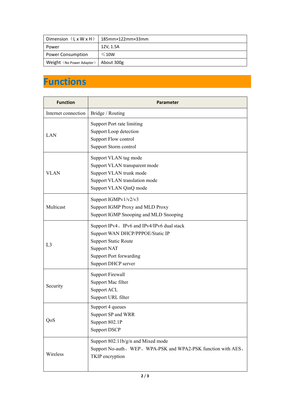| Dimension $(LxWXH)$       | $185$ mm $\times$ 122mm $\times$ 33mm |
|---------------------------|---------------------------------------|
| Power                     | 12V, 1.5A                             |
| <b>Power Consumption</b>  | $≤10W$                                |
| Weight (No Power Adapter) | About 300g                            |

## **Functions**

| <b>Function</b>     | Parameter                                                                                                                                                                                    |
|---------------------|----------------------------------------------------------------------------------------------------------------------------------------------------------------------------------------------|
| Internet connection | Bridge / Routing                                                                                                                                                                             |
| LAN                 | Support Port rate limiting<br>Support Loop detection<br>Support Flow control<br>Support Storm control                                                                                        |
| <b>VLAN</b>         | Support VLAN tag mode<br>Support VLAN transparent mode<br>Support VLAN trunk mode<br>Support VLAN translation mode<br>Support VLAN QinQ mode                                                 |
| Multicast           | Support IGMPv1/v2/v3<br>Support IGMP Proxy and MLD Proxy<br>Support IGMP Snooping and MLD Snooping                                                                                           |
| L <sub>3</sub>      | Support IPv4、IPv6 and IPv4/IPv6 dual stack<br>Support WAN DHCP/PPPOE/Static IP<br><b>Support Static Route</b><br><b>Support NAT</b><br><b>Support Port forwarding</b><br>Support DHCP server |
| Security            | <b>Support Firewall</b><br>Support Mac filter<br>Support ACL<br>Support URL filter                                                                                                           |
| QoS                 | Support 4 queues<br>Support SP and WRR<br>Support 802.1P<br><b>Support DSCP</b>                                                                                                              |
| Wireless            | Support 802.11b/g/n and Mixed mode<br>Support No-auth、WEP、WPA-PSK and WPA2-PSK function with AES、<br>TKIP encryption                                                                         |